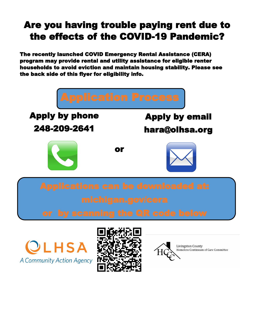## Are you having trouble paying rent due to the effects of the COVID-19 Pandemic?

The recently launched COVID Emergency Rental Assistance (CERA) program may provide rental and utility assistance for eligible renter households to avoid eviction and maintain housing stability. Please see the back side of this flyer for eligibility info.